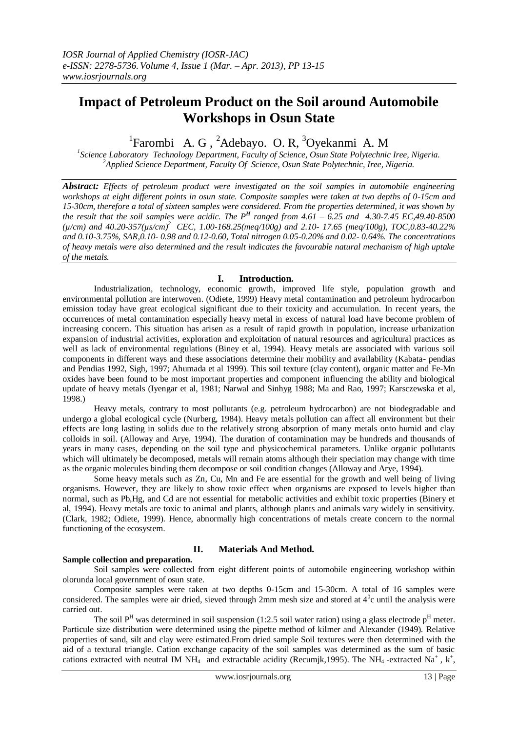## **Impact of Petroleum Product on the Soil around Automobile Workshops in Osun State**

# <sup>1</sup> Farombi A. G, <sup>2</sup>Adebayo. O. R, <sup>3</sup>Oyekanmi A. M

*Science Laboratory Technology Department, Faculty of Science, Osun State Polytechnic Iree, Nigeria. <sup>2</sup>Applied Science Department, Faculty Of Science, Osun State Polytechnic, Iree, Nigeria.*

*Abstract: Effects of petroleum product were investigated on the soil samples in automobile engineering workshops at eight different points in osun state. Composite samples were taken at two depths of 0-15cm and 15-30cm, therefore a total of sixteen samples were considered. From the properties determined, it was shown by the result that the soil samples were acidic. The P<sup>H</sup> ranged from 4.61 – 6.25 and 4.30-7.45 EC,49.40-8500 (µ/cm) and 40.20-357(µs/cm)<sup>2</sup>CEC, 1.00-168.25(meq/100g) and 2.10- 17.65 (meq/100g), TOC,0.83-40.22% and 0.10-3.75%, SAR,0.10- 0.98 and 0.12-0.60, Total nitrogen 0.05-0.20% and 0.02- 0.64%. The concentrations of heavy metals were also determined and the result indicates the favourable natural mechanism of high uptake of the metals.*

#### **I. Introduction.**

Industrialization, technology, economic growth, improved life style, population growth and environmental pollution are interwoven. (Odiete, 1999) Heavy metal contamination and petroleum hydrocarbon emission today have great ecological significant due to their toxicity and accumulation. In recent years, the occurrences of metal contamination especially heavy metal in excess of natural load have become problem of increasing concern. This situation has arisen as a result of rapid growth in population, increase urbanization expansion of industrial activities, exploration and exploitation of natural resources and agricultural practices as well as lack of environmental regulations (Biney et al, 1994). Heavy metals are associated with various soil components in different ways and these associations determine their mobility and availability (Kabata- pendias and Pendias 1992, Sigh, 1997; Ahumada et al 1999). This soil texture (clay content), organic matter and Fe-Mn oxides have been found to be most important properties and component influencing the ability and biological update of heavy metals (Iyengar et al, 1981; Narwal and Sinhyg 1988; Ma and Rao, 1997; Karsczewska et al, 1998.)

Heavy metals, contrary to most pollutants (e.g. petroleum hydrocarbon) are not biodegradable and undergo a global ecological cycle (Nurberg, 1984). Heavy metals pollution can affect all environment but their effects are long lasting in solids due to the relatively strong absorption of many metals onto humid and clay colloids in soil. (Alloway and Arye, 1994). The duration of contamination may be hundreds and thousands of years in many cases, depending on the soil type and physicochemical parameters. Unlike organic pollutants which will ultimately be decomposed, metals will remain atoms although their speciation may change with time as the organic molecules binding them decompose or soil condition changes (Alloway and Arye, 1994).

Some heavy metals such as Zn, Cu, Mn and Fe are essential for the growth and well being of living organisms. However, they are likely to show toxic effect when organisms are exposed to levels higher than normal, such as Pb,Hg, and Cd are not essential for metabolic activities and exhibit toxic properties (Binery et al, 1994). Heavy metals are toxic to animal and plants, although plants and animals vary widely in sensitivity. (Clark, 1982; Odiete, 1999). Hence, abnormally high concentrations of metals create concern to the normal functioning of the ecosystem.

### **II. Materials And Method.**

#### **Sample collection and preparation.**

Soil samples were collected from eight different points of automobile engineering workshop within olorunda local government of osun state.

Composite samples were taken at two depths 0-15cm and 15-30cm. A total of 16 samples were considered. The samples were air dried, sieved through 2mm mesh size and stored at  $4^\circ$ c until the analysis were carried out.

The soil  $P<sup>H</sup>$  was determined in soil suspension (1:2.5 soil water ration) using a glass electrode  $p<sup>H</sup>$  meter. Particule size distribution were determined using the pipette method of kilmer and Alexander (1949). Relative properties of sand, silt and clay were estimated.From dried sample Soil textures were then determined with the aid of a textural triangle. Cation exchange capacity of the soil samples was determined as the sum of basic cations extracted with neutral IM NH<sub>4</sub> and extractable acidity (Recumjk,1995). The NH<sub>4</sub>-extracted Na<sup>+</sup>, k<sup>+</sup>,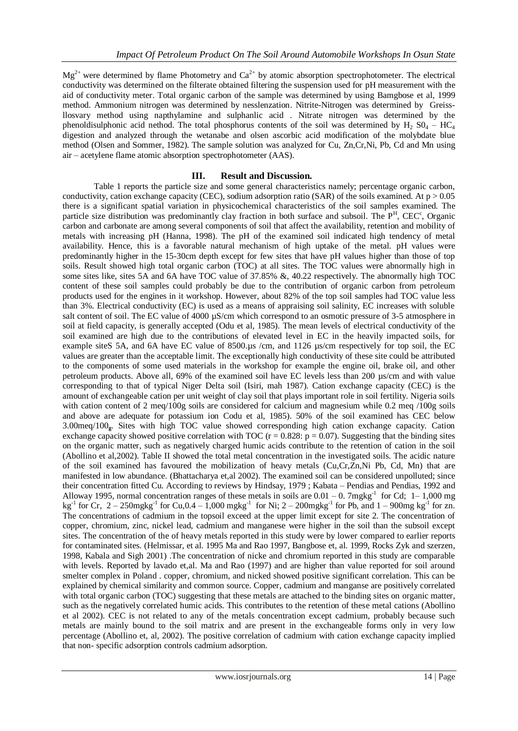$Mg^{2+}$  were determined by flame Photometry and  $Ca^{2+}$  by atomic absorption spectrophotometer. The electrical conductivity was determined on the filterate obtained filtering the suspension used for pH measurement with the aid of conductivity meter. Total organic carbon of the sample was determined by using Bamgbose et al, 1999 method. Ammonium nitrogen was determined by nesslenzation. Nitrite-Nitrogen was determined by Greissllosvary method using napthylamine and sulphanlic acid . Nitrate nitrogen was determined by the phenoldisulphonic acid nethod. The total phosphorus contents of the soil was determined by  $H_2$  S0<sub>4</sub> – HC<sub>4</sub> digestion and analyzed through the wetanabe and olsen ascorbic acid modification of the molybdate blue method (Olsen and Sommer, 1982). The sample solution was analyzed for Cu, Zn,Cr,Ni, Pb, Cd and Mn using air – acetylene flame atomic absorption spectrophotometer (AAS).

#### **III. Result and Discussion.**

Table 1 reports the particle size and some general characteristics namely; percentage organic carbon, conductivity, cation exchange capacity (CEC), sodium adsorption ratio (SAR) of the soils examined. At  $p > 0.05$ there is a significant spatial variation in physicochemical characteristics of the soil samples examined. The particle size distribution was predominantly clay fraction in both surface and subsoil. The  $P<sup>H</sup>$ , CEC<sup>c</sup>, Organic carbon and carbonate are among several components of soil that affect the availability, retention and mobility of metals with increasing pH (Hanna, 1998). The pH of the examined soil indicated high tendency of metal availability. Hence, this is a favorable natural mechanism of high uptake of the metal. pH values were predominantly higher in the 15-30cm depth except for few sites that have pH values higher than those of top soils. Result showed high total organic carbon (TOC) at all sites. The TOC values were abnormally high in some sites like, sites 5A and 6A have TOC value of 37.85% &, 40.22 respectively. The abnormally high TOC content of these soil samples could probably be due to the contribution of organic carbon from petroleum products used for the engines in it workshop. However, about 82% of the top soil samples had TOC value less than 3%. Electrical conductivity (EC) is used as a means of appraising soil salinity, EC increases with soluble salt content of soil. The EC value of 4000  $\mu$ S/cm which correspond to an osmotic pressure of 3-5 atmosphere in soil at field capacity, is generally accepted (Odu et al, 1985). The mean levels of electrical conductivity of the soil examined are high due to the contributions of elevated level in EC in the heavily impacted soils, for example siteS 5A, and 6A have EC value of 8500.µs /cm, and 1126 µs/cm respectively for top soil, the EC values are greater than the acceptable limit. The exceptionally high conductivity of these site could be attributed to the components of some used materials in the workshop for example the engine oil, brake oil, and other petroleum products. Above all, 69% of the examined soil have EC levels less than 200 µs/cm and with value corresponding to that of typical Niger Delta soil (Isiri, mah 1987). Cation exchange capacity (CEC) is the amount of exchangeable cation per unit weight of clay soil that plays important role in soil fertility. Nigeria soils with cation content of 2 meq/100g soils are considered for calcium and magnesium while 0.2 meq /100g soils and above are adequate for potassium ion Codu et al, 1985). 50% of the soil examined has CEC below 3.00meq/100**g**. Sites with high TOC value showed corresponding high cation exchange capacity. Cation exchange capacity showed positive correlation with TOC ( $r = 0.828$ :  $p = 0.07$ ). Suggesting that the binding sites on the organic matter, such as negatively charged humic acids contribute to the retention of cation in the soil (Abollino et al,2002). Table II showed the total metal concentration in the investigated soils. The acidic nature of the soil examined has favoured the mobilization of heavy metals (Cu,Cr,Zn,Ni Pb, Cd, Mn) that are manifested in low abundance. (Bhattacharya et,al 2002). The examined soil can be considered unpolluted; since their concentration fitted Cu. According to reviews by Hindsay, 1979 ; Kabata – Pendias and Pendias, 1992 and Alloway 1995, normal concentration ranges of these metals in soils are  $0.01 - 0$ . 7mgkg<sup>-1</sup> for Cd; 1–1,000 mg  $kg^{-1}$  for Cr, 2 – 250mgkg<sup>-1</sup> for Cu,0.4 – 1,000 mgkg<sup>-1</sup> for Ni; 2 – 200mgkg<sup>-1</sup> for Pb, and 1 – 900mg kg<sup>-1</sup> for zn. The concentrations of cadmium in the topsoil exceed at the upper limit except for site 2. The concentration of copper, chromium, zinc, nickel lead, cadmium and manganese were higher in the soil than the subsoil except sites. The concentration of the of heavy metals reported in this study were by lower compared to earlier reports for contaminated sites. (Helmissar, et al. 1995 Ma and Rao 1997, Bangbose et, al. 1999, Rocks Zyk and szerzen, 1998, Kabala and Sigh 2001) .The concentration of nicke and chromium reported in this study are comparable with levels. Reported by lavado et,al. Ma and Rao (1997) and are higher than value reported for soil around smelter complex in Poland . copper, chromium, and nicked showed positive significant correlation. This can be explained by chemical similarity and common source. Copper, cadmium and manganse are positively correlated with total organic carbon (TOC) suggesting that these metals are attached to the binding sites on organic matter, such as the negatively correlated humic acids. This contributes to the retention of these metal cations (Abollino et al 2002). CEC is not related to any of the metals concentration except cadmium, probably because such metals are mainly bound to the soil matrix and are present in the exchangeable forms only in very low percentage (Abollino et, al, 2002). The positive correlation of cadmium with cation exchange capacity implied that non- specific adsorption controls cadmium adsorption.